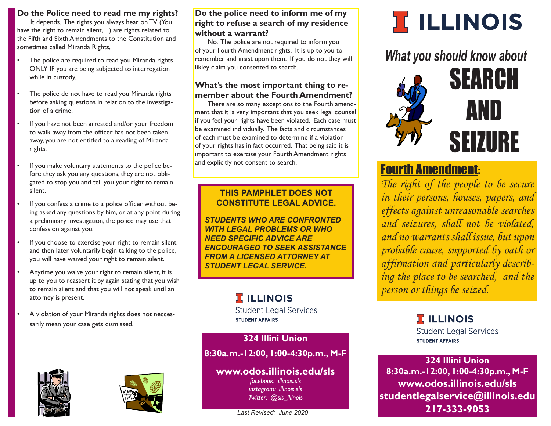# **Do the Police need to read me my rights?**

It depends. The rights you always hear on TV (You have the right to remain silent, ...) are rights related to the Fifth and Sixth Amendments to the Constitution and sometimes called Miranda Rights,

- The police are required to read you Miranda rights ONLY IF you are being subjected to interrogation while in custody.
- The police do not have to read you Miranda rights before asking questions in relation to the investigation of a crime.
- If you have not been arrested and/or your freedom to walk away from the officer has not been taken away, you are not entitled to a reading of Miranda rights.
- If you make voluntary statements to the police before they ask you any questions, they are not obligated to stop you and tell you your right to remain silent.
- If you confess a crime to a police officer without being asked any questions by him, or at any point during a preliminary investigation, the police may use that confession against you.
- If you choose to exercise your right to remain silent and then later voluntarily begin talking to the police, you will have waived your right to remain silent.
- Anytime you waive your right to remain silent, it is up to you to reassert it by again stating that you wish to remain silent and that you will not speak until an attorney is present.
- A violation of your Miranda rights does not neccessarily mean your case gets dismissed.





# **Do the police need to inform me of my right to refuse a search of my residence without a warrant?**

No. The police are not required to inform you of your Fourth Amendment rights. It is up to you to remember and insist upon them. If you do not they will likley claim you consented to search.

# **What's the most important thing to remember about the Fourth Amendment?**

There are so many exceptions to the Fourth amendment that it is very important that you seek legal counsel if you feel your rights have been violated. Each case must be examined individually. The facts and circumstances of each must be examined to determine if a violation of your rights has in fact occurred. That being said it is important to exercise your Fourth Amendment rights and explicitly not consent to search.

# **THIS PAMPHLET DOES NOT CONSTITUTE LEGAL ADVICE.**

*STUDENTS WHO ARE CONFRONTED WITH LEGAL PROBLEMS OR WHO NEED SPECIFIC ADVICE ARE ENCOURAGED TO SEEK ASSISTANCE FROM A LICENSED ATTORNEY AT STUDENT LEGAL SERVICE.*

# **TELLINOIS**

**Student Legal Services STUDENT AFFAIRS** 

**324 Illini Union**

**8:30a.m.-12:00, 1:00-4:30p.m., M-F**

# **www.odos.illinois.edu/sls**

*facebook: illinois.sls instagram: illinois.sls Twitter: @sls\_illinois*

*Last Revised: June 2020*

# **I ILLINOIS**

*What you should know about*



# Fourth Amendment:

*The right of the people to be secure in their persons, houses, papers, and effects against unreasonable searches and seizures, shall not be violated, and no warrants shall issue, but upon probable cause, supported by oath or affirmation and particularly describing the place to be searched, and the person or things be seized.*

> **T** ILLINOIS **Student Legal Services STUDENT AFFAIRS**

**324 Illini Union 8:30a.m.-12:00, 1:00-4:30p.m., M-F www.odos.illinois.edu/sls studentlegalservice@illinois.edu 217-333-9053**